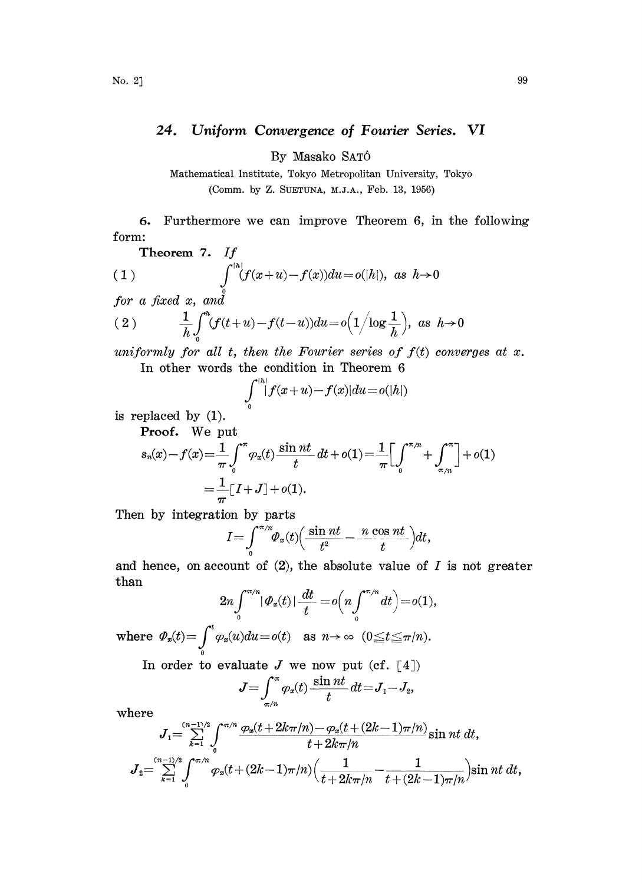## 24. Uniform Convergence of Fourier Series. VI

By Masako SAT6

Mathematical Institute, Tokyo Metropolitan University, Tokyo (Comm. by Z. SUETUNA, M.J.A., Feb. 13, 1956)

6. Furthermore we can improve Theorem 6, in he following form:

**Theorem 7.** If  
\n(1) 
$$
\int_{0}^{\lfloor h \rfloor} (f(x+u)-f(x))du = o(|h|), \text{ as } h \to 0
$$

 $for a fixed x, and$ 

$$
(2) \qquad \frac{1}{h}\int_0^h(f(t+u)-f(t-u))du = o\Big(1/\log\frac{1}{h}\Big), \text{ as } h\to 0
$$

uniformly for all t, then the Fourier series of  $f(t)$  converges at x. In other words the condition in Theorem 6

$$
\int_{0}^{|h|} |f(x+u)-f(x)|du = o(|h|)
$$

is replaced by (1).

Proof. We put

$$
s_n(x) - f(x) = \frac{1}{\pi} \int_0^{\pi} \varphi_x(t) \frac{\sin nt}{t} dt + o(1) = \frac{1}{\pi} \Big[ \int_0^{\pi/n} + \int_{\pi/n}^{\pi} \Big] + o(1)
$$
  
=  $\frac{1}{\pi} [I + J] + o(1).$ 

Then by integration by parts

$$
I = \int_{0}^{\pi/n} \Phi_{x}(t) \Big( \frac{\sin nt}{t^2} - \frac{n \cos nt}{t} \Big) dt,
$$

and hence, on account of  $(2)$ , the absolute value of I is not greater han

$$
2n \int_0^{\pi/n} |\varPhi_x(t)| \frac{dt}{t} = o\Big(n \int_0^{\pi/n} dt\Big) = o(1),
$$

where  $\varPhi_x(t) = \int_{0}^{t} \varphi_x(u)du = o(t)$  as  $n \to \infty$   $(0 \le t \le \pi/n)$ .

In order to evaluate J we now put (cf.  $\lceil 4 \rceil$ )

$$
J=\int_{\pi/n}^{\pi}\varphi_x(t)\frac{\sin nt}{t}dt=J_1-J_2,
$$

where

$$
J = \int_{\pi/n} \varphi_x(t) \frac{2\pi i t}{t} dt = J_1 - J_2,
$$
  
\nhere  
\n
$$
J_1 = \sum_{k=1}^{(n-1)/2} \int_0^{\pi/n} \frac{\varphi_x(t + 2k\pi/n) - \varphi_x(t + (2k-1)\pi/n)}{t + 2k\pi/n} \sin nt dt,
$$
  
\n
$$
J_2 = \sum_{k=1}^{(n-1)/2} \int_0^{\pi/n} \varphi_x(t + (2k-1)\pi/n) \Big( \frac{1}{t + 2k\pi/n} - \frac{1}{t + (2k-1)\pi/n} \Big) \sin nt dt,
$$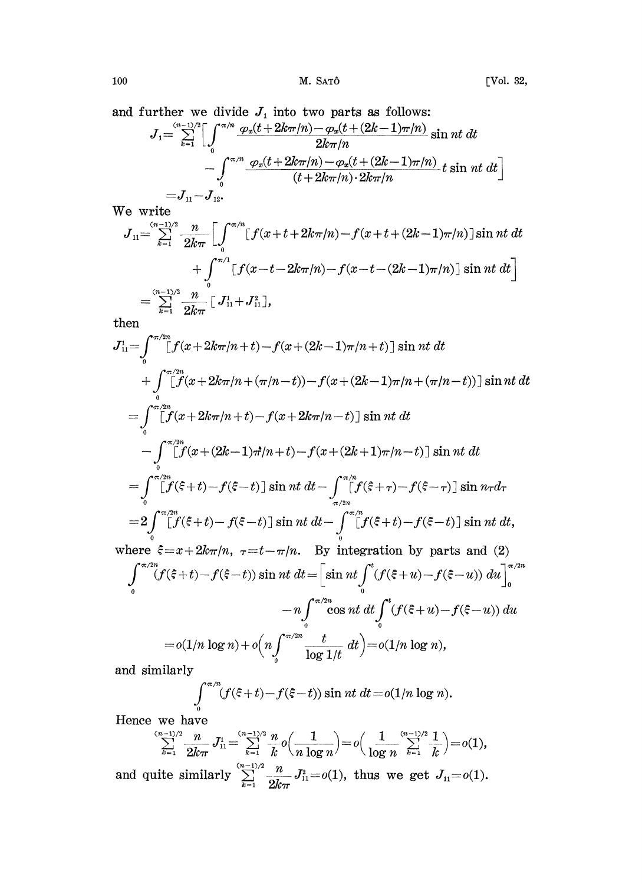and further we divide  $J_1$  into two parts as follows:

$$
J_{1} = \sum_{k=1}^{(n-1)/2} \left[ \int_{0}^{\pi/n} \frac{\varphi_{x}(t+2k\pi/n) - \varphi_{x}(t+(2k-1)\pi/n)}{2k\pi/n} \sin nt \ dt \right. \\ - \int_{0}^{\pi/n} \frac{\varphi_{x}(t+2k\pi/n) - \varphi_{x}(t+(2k-1)\pi/n)}{(t+2k\pi/n) \cdot 2k\pi/n} t \sin nt \ dt \right]
$$
  
=  $J_{11} - J_{12}$ .

We write

$$
J_{11} = \sum_{k=1}^{(n-1)/2} \frac{n}{2k\pi} \left[ \int_0^{\pi/n} [f(x+t+2k\pi/n) - f(x+t+(2k-1)\pi/n)] \sin nt \, dt + \int_0^{\pi/1} [f(x-t-2k\pi/n) - f(x-t-(2k-1)\pi/n)] \sin nt \, dt \right]
$$
  
= 
$$
\sum_{k=1}^{(n-1)/2} \frac{n}{2k\pi} \left[ J_{11}^1 + J_{11}^2 \right],
$$

then

$$
J_{11}^{1} = \int_{0}^{\pi/2n} [f(x + 2k\pi/n + t) - f(x + (2k - 1)\pi/n + t)] \sin nt \, dt
$$
  
+ 
$$
\int_{0}^{\pi/2n} [f(x + 2k\pi/n + (\pi/n - t)) - f(x + (2k - 1)\pi/n + (\pi/n - t))] \sin nt \, dt
$$
  
= 
$$
\int_{0}^{\pi/2n} [f(x + 2k\pi/n + t) - f(x + 2k\pi/n - t)] \sin nt \, dt
$$
  
- 
$$
\int_{0}^{\pi/2n} [f(x + (2k - 1)\pi/n + t) - f(x + (2k + 1)\pi/n - t)] \sin nt \, dt
$$
  
= 
$$
\int_{0}^{\pi/2n} [f(\xi + t) - f(\xi - t)] \sin nt \, dt - \int_{\pi/2n}^{\pi/2n} [f(\xi + \tau) - f(\xi - \tau)] \sin nt \, dt
$$
  
= 
$$
2 \int_{0}^{\pi/2n} [f(\xi + t) - f(\xi - t)] \sin nt \, dt - \int_{0}^{\pi/2n} [f(\xi + t) - f(\xi - t)] \sin nt \, dt
$$
  
where  $\xi = x + 2k\pi/n$ ,  $\tau = t - \pi/n$ . By integration by parts and (2)  

$$
\int_{0}^{\pi/2n} (f(\xi + t) - f(\xi - t)) \sin nt \, dt = \left[ \sin nt \int_{0}^{t} (f(\xi + u) - f(\xi - u)) \, du \right]_{0}^{\pi/2n}
$$
  
- 
$$
n \int_{0}^{\pi/2n} \cos nt \, dt \int_{0}^{t} (f(\xi + u) - f(\xi - u)) \, du
$$
  
= 
$$
o(1/n \log n) + o\left(n \int_{0}^{\pi/2n} \frac{t}{\log 1/t} \, dt\right) = o(1/n \log n),
$$

and similarly

$$
\int_{0}^{\pi/n} (f(\xi+t) - f(\xi-t)) \sin nt \ dt = o(1/n \log n).
$$

Hence we have

$$
\sum_{k=1}^{(n-1)/2}\frac{n}{2k\pi}J_{11}^1\!=\!\!\sum_{k=1}^{(n-1)/2}\frac{n}{k}o\!\left(\frac{1}{n\log n}\right)\!=\!o\!\left(\frac{1}{\log n}\sum_{k=1}^{(n-1)/2}\!\!\frac{1}{k}\right)\!=\!o(1),
$$

and quite similarly  $\sum_{k=1}^{(n-1)/2} \frac{n}{2k\pi} J_{11}^2 = o(1)$ , thus we get  $J_{11} = o(1)$ .

100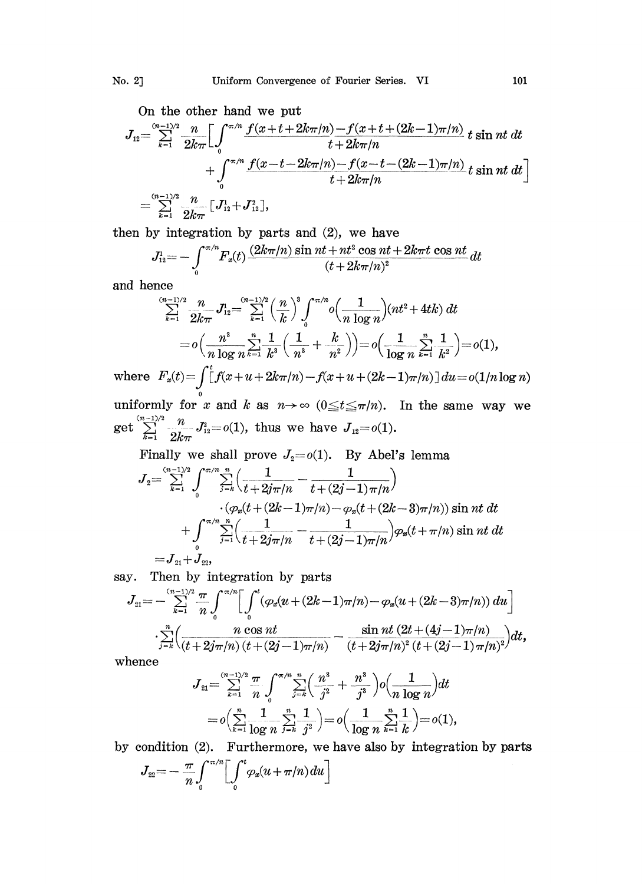On the other hand we pu

$$
J_{12} = \sum_{k=1}^{(n-1)/2} \frac{n}{2k\pi} \Biggl[ \int_0^{\pi/n} \frac{f(x+t+2k\pi/n) - f(x+t+(2k-1)\pi/n)}{t+2k\pi/n} t \sin nt \, dt + \int_0^{\pi/n} \frac{f(x-t-2k\pi/n) - f(x-t-(2k-1)\pi/n)}{t+2k\pi/n} t \sin nt \, dt \Biggr]
$$
  
=  $\sum_{k=1}^{(n-1)/2} \frac{n}{2k\pi} \Biggl[ J_{12}^1 + J_{12}^2 \Biggr],$ 

then by integration by parts and (2), we have

$$
J_{12}^{r} = -\int_{0}^{\pi/n} F_x(t) \frac{(2k\pi/n)\sin nt + nt^2\cos nt + 2k\pi t\cos nt}{(t + 2k\pi/n)^2} dt
$$
  
since  

$$
\sum_{n=1}^{(n-1)/2} \frac{n}{\sum_{n=1}^{n} J_{12}^{n}} = \sum_{n=1}^{(n-1)/2} \left(\frac{n}{n}\right)^3 \int_{0}^{\pi/n} (1 - \ln nt^2 + 4tk) dt
$$

and hence

$$
\sum_{k=1}^{(n-1)/2} \frac{n}{2k\pi} J_{12}^1 = \sum_{k=1}^{(n-1)/2} \left(\frac{n}{k}\right)^3 \int_0^{\pi/n} o\left(\frac{1}{n \log n}\right) (nt^2 + 4tk) dt
$$
  
=  $o\left(\frac{n^3}{n \log n} \sum_{k=1}^n \frac{1}{k^3} \left(\frac{1}{n^3} + \frac{k}{n^2}\right)\right) = o\left(\frac{1}{\log n} \sum_{k=1}^n \frac{1}{k^2}\right) = o(1),$   
where  $F_x(t) = \int_0^t f(x + u + 2k\pi/n) - f(x + u + (2k - 1)\pi/n) du = o(1/n \log n)$   
uniformly for  $x$  and  $k$  as  $n \to \infty$  ( $0 \le t \le \pi/n$ ). In the same way we

 $\text{get } \sum_{k=1}^{(n-1)/2} \frac{n}{2k\pi} J_{12}^2 {=} o(1), \text{ thus we have } J_{12} {=} o(1).$ 

Finally we shall prove  $J_2=o(1)$ . By Abel's lemma

$$
\displaystyle J_2\!\!=\!\sum\limits_{k=1}^{(n-1)/2}\int\limits_0^{\pi/n}\!\sum\limits_{j=k}^n\!\Big(\frac{1}{t\!+\!2j\pi/n}-\frac{1}{t\!+\!(2j\!-\!1)\pi/n}\Big)\\ \!\!\cdot\!\big(\!\varphi_x\!(t\!+\!(2k\!-\!1)\pi/n)\!-\!\varphi_x\!(t\!+\!(2k\!-\!3)\pi/n)\big)\sin nt\,dt\\ \!\!\!+\!\!\int\limits_0^{\pi/n}\!\sum\limits_{j=1}^n\!\Big(\frac{1}{t\!+\!2j\pi/n}-\frac{1}{t\!+\!(2j\!-\!1)\pi/n}\Big)\!\varphi_x\!(t\!+\!\pi/n)\sin nt\,dt\\ \!\!\!=\!\!J_{21}\!+\!\widetilde{J}_{22},\\
$$

say. Then by integration by parts

$$
J_{21} = -\sum_{k=1}^{(n-1)/2} \frac{\pi}{n} \int_0^{\pi/n} \left[ \int_0^t (\varphi_x(u + (2k-1)\pi/n) - \varphi_x(u + (2k-3)\pi/n)) du \right]
$$
  

$$
\sum_{j=k}^n \left( \frac{n \cos nt}{(t + 2j\pi/n)(t + (2j-1)\pi/n)} - \frac{\sin nt (2t + (4j-1)\pi/n)}{(t + 2j\pi/n)^2 (t + (2j-1)\pi/n)^2} \right) dt,
$$
  
hence  

$$
J_{21} = \sum_{k=1}^{(n-1)/2} \frac{\pi}{n} \int_0^{\pi/n} \sum_{k=1}^n \left( \frac{n^3}{n} + \frac{n^3}{n^2} \right) \varphi\left(\frac{1}{n}\right) dt
$$

whence

$$
\begin{array}{l} \displaystyle J_{21} \!\!\!\!\! = \!\!\! \sum\limits_{k=1}^{(n-1)/2} \frac{\pi}{n} \int\limits_{0}^{\pi/n} \!\! \sum\limits_{j=k}^{n} \!\! \left( \frac{n^3}{j^2} + \frac{n^3}{j^3} \right) \! o\!\left( \!\frac{1}{n \log n} \!\right) \! dt \\ \displaystyle \!= \! o\!\left( \!\sum\limits_{k=1}^{n} \!\! \frac{1}{\log n} \! \sum\limits_{j=k}^{n} \!\! \frac{1}{j^2} \right) \!\!= \! o\!\left( \frac{1}{\log n} \sum\limits_{k=1}^{n} \!\! \frac{1}{k} \right) \!\!= \! o(1), \end{array}
$$

by condition  $(2)$ . Furthermore, we have also by integration by parts

$$
J_{22} = -\frac{\pi}{n} \int_0^{\pi/n} \bigg[ \int_0^t \varphi_x(u + \pi/n) du \bigg]
$$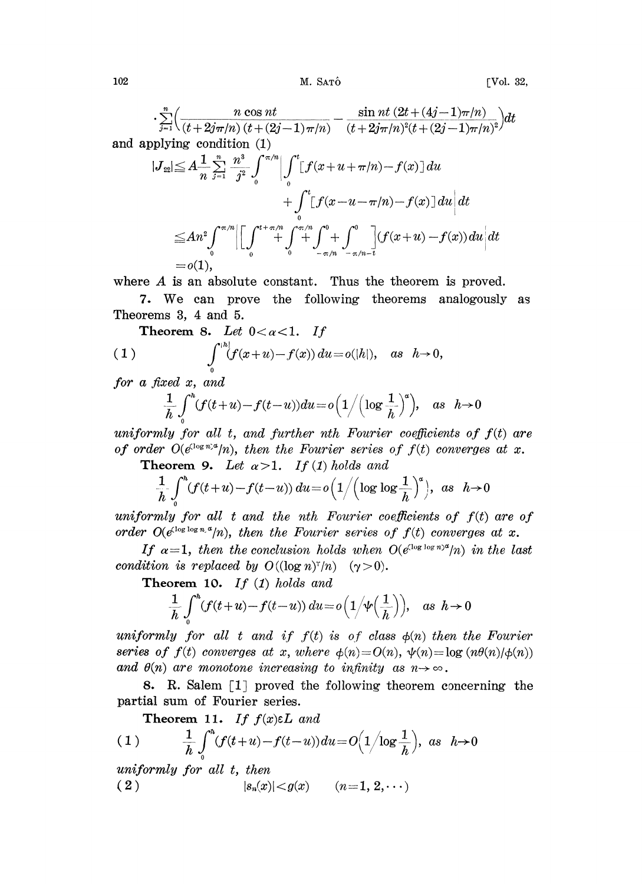M. SATÔ

$$
\sum_{j=1}^{n} \left( \frac{n \cos nt}{(t+2j\pi/n)(t+(2j-1)\pi/n)} - \frac{\sin nt (2t+(4j-1)\pi/n)}{(t+2j\pi/n)^2(t+(2j-1)\pi/n)^2} \right) dt
$$
  
and applying condition (1)  

$$
|J_{22}| \leq A \frac{1}{n} \sum_{j=1}^{n} \frac{n^3}{j^2} \int_{0}^{\pi/n} \left| \int_{0}^{t} [f(x+u+\pi/n)-f(x)] du + \int_{0}^{t} [f(x-u-\pi/n)-f(x)] du \right| dt
$$

$$
\leq An^2 \int_{0}^{\pi/n} \left| \left[ \int_{0}^{t+\pi/n} \int_{-\pi/n}^{\sigma/n} \int_{-\pi/n}^{0} + \int_{-\pi/n-t}^{0} (f(x+u)-f(x)) du \right| dt \right|
$$

$$
= o(1),
$$

where  $A$  is an absolute constant. Thus the theorem is proved.

7. We can prove the following theorems analogously as Theorems 3, 4 and 5.

**Theorem 8.** Let 
$$
0 < \alpha < 1
$$
. If  
\n(1) 
$$
\int_{0}^{|h|} (f(x+u)-f(x)) du = o(|h|), \text{ as } h \to 0,
$$

for a fixed  $x$ , and

$$
\frac{1}{h}\int\limits_0^h(f(t+u)-f(t-u))du = o\Big(1/\Big(\log\frac{1}{h}\Big)^a\Big), \quad as \quad h\!\to\! 0
$$

uniformly for all t, and further nth Fourier coefficients of  $f(t)$  are of order  $O(e^{(\log n)x}/n)$ , then the Fourier series of  $f(t)$  converges at x.

**Theorem 9.** Let  $\alpha > 1$ . If (1) holds and

$$
\frac{1}{h}\int\limits_0^h(f(t+u)-f(t-u))\,du\!=\!o\Big(1\Big/\Big(\log\log\frac{1}{h}\Big)^a\Big),\ \ as\ \ h\!\rightarrow\!0
$$

uniformly for all  $t$  and the nth Fourier coefficients of  $f(t)$  are of order  $O(e^{(\log \log n_e a}/n))$ , then the Fourier series of  $f(t)$  converges at x.

If  $\alpha=1$ , then the conclusion holds when  $O(e^{\log \log n})^d/n$  in the last condition is replaced by  $O((\log n)^{\tau}/n)$   $(\gamma > 0)$ .

Theorem 10. If  $(1)$  holds and

$$
\frac{1}{h}\int_{0}^{h}(f(t+u)-f(t-u)) du = o\Big(1/\psi\Big(\frac{1}{h}\Big)\Big), \quad \text{as } h \to 0
$$

uniformly for all t and if  $f(t)$  is of class  $\phi(n)$  then the Fourier series of  $f(t)$  converges at x, where  $\phi(n) = O(n)$ ,  $\psi(n) = \log (n\theta(n)/\phi(n))$ and  $\theta(n)$  are monotone increasing to infinity as  $n \rightarrow \infty$ .

8. R. Salem [1] proved the following theorem concerning the partial sum of Fourier series.

Theorem 11. If  $f(x)\in L$  and

$$
(1) \qquad \frac{1}{h} \int_0^h (f(t+u)-f(t-u))du = O\Big(1/\log\frac{1}{h}\Big), \text{ as } h \to 0
$$

uniformly for all t, then

 $(2)$  $|s_n(x)| < g(x)$   $(n=1, 2, \cdots)$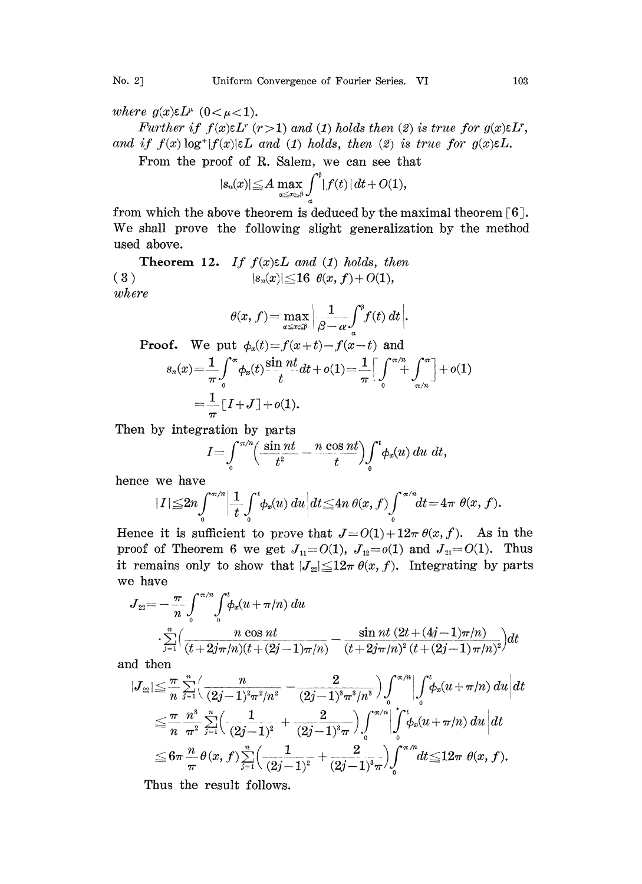where  $g(x)\in L^{\mu}$   $(0<\mu<1)$ .

Further if  $f(x)\in L^r$   $(r>1)$  and (1) holds then (2) is true for  $g(x)\in L^r$ , and if  $f(x) \log^+ |f(x)| \in L$  and (1) holds, then (2) is true for  $g(x) \in L$ .

From the proof of R. Salem, we can see that

$$
|s_n(x)| \leq A \max_{\alpha \leq x \leq \beta} \int_a^{\beta} |f(t)| dt + O(1),
$$

from which the above theorem is deduced by the maximal theorem [6]. We shall prove the following slight generalization by the method used above.

**Theorem 12.** If  $f(x) \in L$  and (1) holds, then (3) where  $|s_n(x)| \leq 16 \theta(x, f) + O(1),$ 

$$
\theta(x, f) = \max_{\alpha \le x \le \beta} \left| \frac{1}{\beta - \alpha} \int_a^{\beta} f(t) dt \right|.
$$
  
put  $\phi(t) - f(x + t) - f(x - t)$  and

Proof. We put 
$$
\phi_x(t) = f(x+t) - f(x-t)
$$
 and  
\n
$$
s_n(x) = \frac{1}{\pi} \int_0^{\pi} \phi_x(t) \frac{\sin nt}{t} dt + o(1) = \frac{1}{\pi} \Big[ \int_0^{\pi/n} + \int_{\pi/n}^{\pi} \Big] + o(1)
$$
\n
$$
= \frac{1}{\pi} [I + J] + o(1).
$$

Then by integration by parts

$$
I = \int_{0}^{\pi/n} \left( \frac{\sin nt}{t^2} - \frac{n \cos nt}{t} \right) \int_{0}^{t} \phi_x(u) \ du \ dt,
$$

hence we have

$$
|I| \leq 2n \int_0^{\pi/n} \left| \frac{1}{t} \int_0^t \phi_x(u) \, du \right| dt \leq 4n \, \theta(x, f) \int_0^{\pi/n} dt = 4\pi \, \theta(x, f).
$$

Hence it is sufficient to prove that  $J=O(1)+12\pi \theta(x, f)$ . As in the proof of Theorem 6 we get  $J_{11}=O(1)$ ,  $J_{12}=O(1)$  and  $J_{21}=O(1)$ . Thus it remains only to show that  $|J_{22}| \leq 12\pi \theta(x, f)$ . Integrating by parts we have

$$
J_{22} = -\frac{\pi}{n} \int_{0}^{\pi/n} \int_{0}^{t} \phi_x(u + \pi/n) \, du
$$
  

$$
\frac{\sum_{j=1}^{n} \left( \frac{n \cos nt}{(t + 2j\pi/n)(t + (2j-1)\pi/n)} - \frac{\sin nt (2t + (4j-1)\pi/n)}{(t + 2j\pi/n)^2 (t + (2j-1)\pi/n)^2} \right) dt
$$

,and hen

$$
|J_{22}| \leq \frac{\pi}{n} \sum_{j=1}^{n} \Biggl( \frac{n}{(2j-1)^2 \pi^2/n^2} - \frac{2}{(2j-1)^3 \pi^3/n^3} \Biggr) \int_0^{\pi/n} \Biggl| \int_0^t \phi_x(u+\pi/n) du \Biggr| dt
$$
  
\n
$$
\leq \frac{\pi}{n} \frac{n^3}{\pi^2} \sum_{j=1}^{n} \Biggl( \frac{1}{(2j-1)^2} + \frac{2}{(2j-1)^3 \pi} \Biggr) \int_0^{\pi/n} \Biggl| \int_0^t \phi_x(u+\pi/n) du \Biggr| dt
$$
  
\n
$$
\leq 6\pi \frac{n}{\pi} \theta(x,f) \sum_{j=1}^{n} \Biggl( \frac{1}{(2j-1)^2} + \frac{2}{(2j-1)^3 \pi} \Biggr) \int_0^{\pi/n} dt \leq 12\pi \theta(x,f).
$$
  
\nThus the result follows.

Thus the result follows.